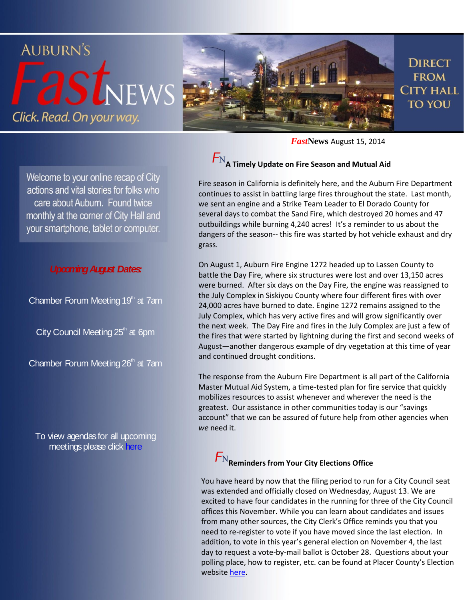

*Fast***News** August 15, 2014

Welcome to your online recap of City actions and vital stories for folks who care about Auburn. Found twice monthly at the corner of City Hall and your smartphone, tablet or computer.

#### *Upcoming August Dates:*

Chamber Forum Meeting  $19<sup>th</sup>$  at 7am

City Council Meeting  $25<sup>th</sup>$  at 6pm

Chamber Forum Meeting  $26<sup>th</sup>$  at 7am

To view agendas for all upcoming meetings please dick [here](http://www.auburn.ca.gov/services/Clerk/cAgendasGranicus.html)

# $F_{\rm N_A}$  Timely Update on Fire Season and Mutual Aid

Fire season in California is definitely here, and the Auburn Fire Department continues to assist in battling large fires throughout the state. Last month, we sent an engine and a Strike Team Leader to El Dorado County for several days to combat the Sand Fire, which destroyed 20 homes and 47 outbuildings while burning 4,240 acres! It's a reminder to us about the dangers of the season-- this fire was started by hot vehicle exhaust and dry grass.

On August 1, Auburn Fire Engine 1272 headed up to Lassen County to battle the Day Fire, where six structures were lost and over 13,150 acres were burned. After six days on the Day Fire, the engine was reassigned to the July Complex in Siskiyou County where four different fires with over 24,000 acres have burned to date. Engine 1272 remains assigned to the July Complex, which has very active fires and will grow significantly over the next week. The Day Fire and fires in the July Complex are just a few of the fires that were started by lightning during the first and second weeks of August—another dangerous example of dry vegetation at this time of year and continued drought conditions.

The response from the Auburn Fire Department is all part of the California Master Mutual Aid System, a time-tested plan for fire service that quickly mobilizes resources to assist whenever and wherever the need is the greatest. Our assistance in other communities today is our "savings account" that we can be assured of future help from other agencies when *we* need it.

## $F_{\rm N}$ Reminders from Your City Elections Office

You have heard by now that the filing period to run for a City Council seat was extended and officially closed on Wednesday, August 13. We are excited to have four candidates in the running for three of the City Council offices this November. While you can learn about candidates and issues from many other sources, the City Clerk's Office reminds you that you need to re-register to vote if you have moved since the last election. In addition, to vote in this year's general election on November 4, the last day to request a vote-by-mail ballot is October 28. Questions about your polling place, how to register, etc. can be found at Placer County's Election website [here.](http://www.placerelections.com/)